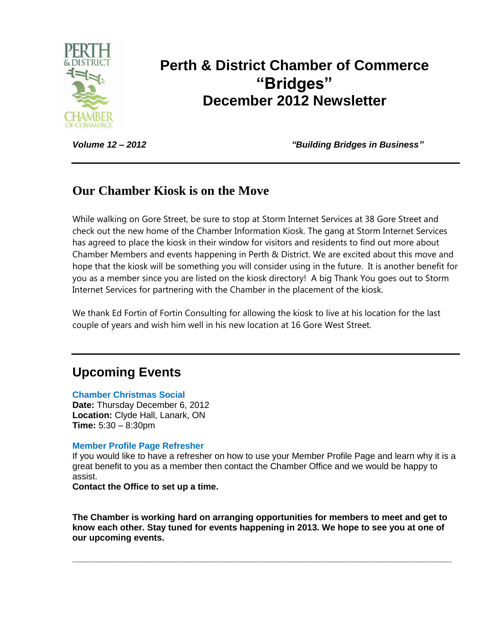

# **Perth & District Chamber of Commerce "Bridges" December 2012 Newsletter**

*Volume 12 – 2012 "Building Bridges in Business"*

### **Our Chamber Kiosk is on the Move**

While walking on Gore Street, be sure to stop at Storm Internet Services at 38 Gore Street and check out the new home of the Chamber Information Kiosk. The gang at Storm Internet Services has agreed to place the kiosk in their window for visitors and residents to find out more about Chamber Members and events happening in Perth & District. We are excited about this move and hope that the kiosk will be something you will consider using in the future. It is another benefit for you as a member since you are listed on the kiosk directory! A big Thank You goes out to Storm Internet Services for partnering with the Chamber in the placement of the kiosk.

We thank Ed Fortin of Fortin Consulting for allowing the kiosk to live at his location for the last couple of years and wish him well in his new location at 16 Gore West Street.

# **Upcoming Events**

#### **Chamber Christmas Social**

**Date:** Thursday December 6, 2012 **Location:** Clyde Hall, Lanark, ON **Time:** 5:30 – 8:30pm

#### **Member Profile Page Refresher**

If you would like to have a refresher on how to use your Member Profile Page and learn why it is a great benefit to you as a member then contact the Chamber Office and we would be happy to assist.

**Contact the Office to set up a time.**

**The Chamber is working hard on arranging opportunities for members to meet and get to know each other. Stay tuned for events happening in 2013. We hope to see you at one of our upcoming events.**

**\_\_\_\_\_\_\_\_\_\_\_\_\_\_\_\_\_\_\_\_\_\_\_\_\_\_\_\_\_\_\_\_\_\_\_\_\_\_\_\_\_\_\_\_\_\_\_\_\_\_\_\_\_\_\_\_\_\_\_\_\_\_\_\_\_\_\_\_\_\_\_\_\_\_\_\_\_**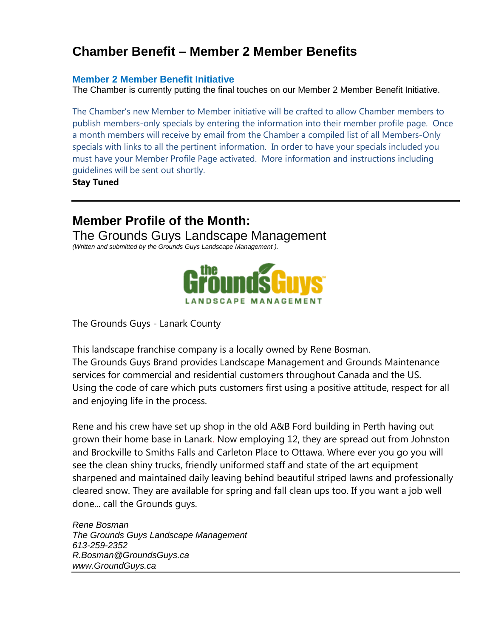# **Chamber Benefit – Member 2 Member Benefits**

#### **Member 2 Member Benefit Initiative**

The Chamber is currently putting the final touches on our Member 2 Member Benefit Initiative.

The Chamber's new Member to Member initiative will be crafted to allow Chamber members to publish members-only specials by entering the information into their member profile page. Once a month members will receive by email from the Chamber a compiled list of all Members-Only specials with links to all the pertinent information. In order to have your specials included you must have your Member Profile Page activated. More information and instructions including guidelines will be sent out shortly.

**Stay Tuned**

## **Member Profile of the Month:**

The Grounds Guys Landscape Management

*(Written and submitted by the Grounds Guys Landscape Management ).*



The Grounds Guys - Lanark County

This landscape franchise company is a locally owned by Rene Bosman. The Grounds Guys Brand provides Landscape Management and Grounds Maintenance services for commercial and residential customers throughout Canada and the US. Using the code of care which puts customers first using a positive attitude, respect for all and enjoying life in the process.

Rene and his crew have set up shop in the old A&B Ford building in Perth having out grown their home base in Lanark. Now employing 12, they are spread out from Johnston and Brockville to Smiths Falls and Carleton Place to Ottawa. Where ever you go you will see the clean shiny trucks, friendly uniformed staff and state of the art equipment sharpened and maintained daily leaving behind beautiful striped lawns and professionally cleared snow. They are available for spring and fall clean ups too. If you want a job well done... call the Grounds guys.

*Rene Bosman The Grounds Guys Landscape Management 613-259-2352 R.Bosman@GroundsGuys.ca www.GroundGuys.ca*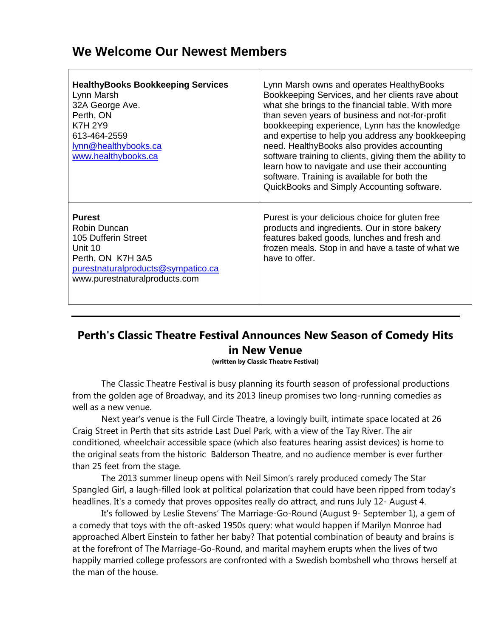### **We Welcome Our Newest Members**

| <b>HealthyBooks Bookkeeping Services</b><br>Lynn Marsh<br>32A George Ave.<br>Perth, ON<br><b>K7H 2Y9</b><br>613-464-2559<br>lynn@healthybooks.ca<br>www.healthybooks.ca | Lynn Marsh owns and operates HealthyBooks<br>Bookkeeping Services, and her clients rave about<br>what she brings to the financial table. With more<br>than seven years of business and not-for-profit<br>bookkeeping experience, Lynn has the knowledge<br>and expertise to help you address any bookkeeping<br>need. Healthy Books also provides accounting<br>software training to clients, giving them the ability to<br>learn how to navigate and use their accounting<br>software. Training is available for both the<br>QuickBooks and Simply Accounting software. |
|-------------------------------------------------------------------------------------------------------------------------------------------------------------------------|--------------------------------------------------------------------------------------------------------------------------------------------------------------------------------------------------------------------------------------------------------------------------------------------------------------------------------------------------------------------------------------------------------------------------------------------------------------------------------------------------------------------------------------------------------------------------|
| <b>Purest</b><br>Robin Duncan<br>105 Dufferin Street<br>Unit 10<br>Perth, ON K7H 3A5<br>purestnaturalproducts@sympatico.ca<br>www.purestnaturalproducts.com             | Purest is your delicious choice for gluten free<br>products and ingredients. Our in store bakery<br>features baked goods, lunches and fresh and<br>frozen meals. Stop in and have a taste of what we<br>have to offer.                                                                                                                                                                                                                                                                                                                                                   |

### **Perth's Classic Theatre Festival Announces New Season of Comedy Hits in New Venue**

**(written by Classic Theatre Festival)**

The Classic Theatre Festival is busy planning its fourth season of professional productions from the golden age of Broadway, and its 2013 lineup promises two long-running comedies as well as a new venue.

Next year's venue is the Full Circle Theatre, a lovingly built, intimate space located at 26 Craig Street in Perth that sits astride Last Duel Park, with a view of the Tay River. The air conditioned, wheelchair accessible space (which also features hearing assist devices) is home to the original seats from the historic Balderson Theatre, and no audience member is ever further than 25 feet from the stage.

The 2013 summer lineup opens with Neil Simon's rarely produced comedy The Star Spangled Girl, a laugh-filled look at political polarization that could have been ripped from today's headlines. It's a comedy that proves opposites really do attract, and runs July 12- August 4.

It's followed by Leslie Stevens' The Marriage-Go-Round (August 9- September 1), a gem of a comedy that toys with the oft-asked 1950s query: what would happen if Marilyn Monroe had approached Albert Einstein to father her baby? That potential combination of beauty and brains is at the forefront of The Marriage-Go-Round, and marital mayhem erupts when the lives of two happily married college professors are confronted with a Swedish bombshell who throws herself at the man of the house.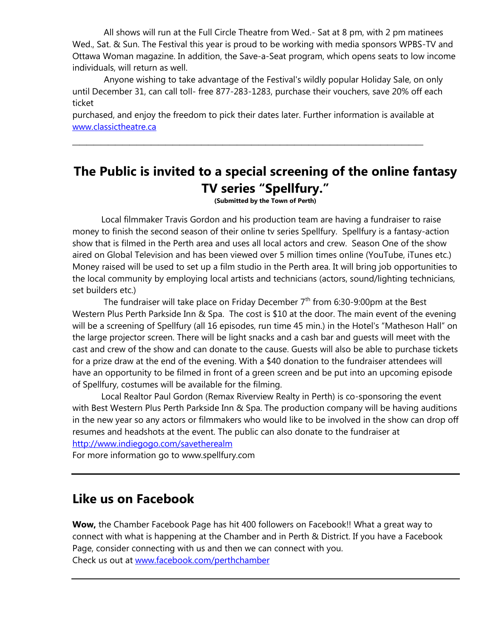All shows will run at the Full Circle Theatre from Wed.- Sat at 8 pm, with 2 pm matinees Wed., Sat. & Sun. The Festival this year is proud to be working with media sponsors WPBS-TV and Ottawa Woman magazine. In addition, the Save-a-Seat program, which opens seats to low income individuals, will return as well.

 Anyone wishing to take advantage of the Festival's wildly popular Holiday Sale, on only until December 31, can call toll- free 877-283-1283, purchase their vouchers, save 20% off each ticket

purchased, and enjoy the freedom to pick their dates later. Further information is available at [www.classictheatre.ca](http://www.classictheatre.ca/)

**\_\_\_\_\_\_\_\_\_\_\_\_\_\_\_\_\_\_\_\_\_\_\_\_\_\_\_\_\_\_\_\_\_\_\_\_\_\_\_\_\_\_\_\_\_\_\_\_\_**

# **The Public is invited to a special screening of the online fantasy TV series "Spellfury."**

**(Submitted by the Town of Perth)**

Local filmmaker Travis Gordon and his production team are having a fundraiser to raise money to finish the second season of their online tv series Spellfury. Spellfury is a fantasy-action show that is filmed in the Perth area and uses all local actors and crew. Season One of the show aired on Global Television and has been viewed over 5 million times online (YouTube, iTunes etc.) Money raised will be used to set up a film studio in the Perth area. It will bring job opportunities to the local community by employing local artists and technicians (actors, sound/lighting technicians, set builders etc.)

The fundraiser will take place on Friday December  $7<sup>th</sup>$  from 6:30-9:00pm at the Best Western Plus Perth Parkside Inn & Spa. The cost is \$10 at the door. The main event of the evening will be a screening of Spellfury (all 16 episodes, run time 45 min.) in the Hotel's "Matheson Hall" on the large projector screen. There will be light snacks and a cash bar and guests will meet with the cast and crew of the show and can donate to the cause. Guests will also be able to purchase tickets for a prize draw at the end of the evening. With a \$40 donation to the fundraiser attendees will have an opportunity to be filmed in front of a green screen and be put into an upcoming episode of Spellfury, costumes will be available for the filming.

Local Realtor Paul Gordon (Remax Riverview Realty in Perth) is co-sponsoring the event with Best Western Plus Perth Parkside Inn & Spa. The production company will be having auditions in the new year so any actors or filmmakers who would like to be involved in the show can drop off resumes and headshots at the event. The public can also donate to the fundraiser at http://www.indiegogo.com/savetherealm

For more information go to www.spellfury.com

### **Like us on Facebook**

**Wow,** the Chamber Facebook Page has hit 400 followers on Facebook!! What a great way to connect with what is happening at the Chamber and in Perth & District. If you have a Facebook Page, consider connecting with us and then we can connect with you. Check us out at [www.facebook.com/perthchamber](http://www.facebook.com/perthchamber)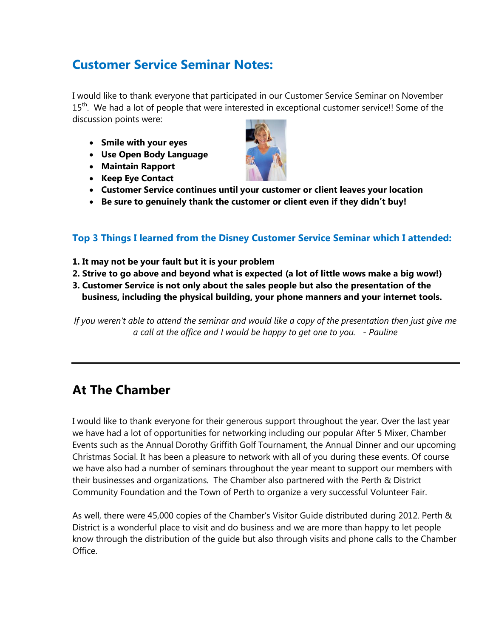## **Customer Service Seminar Notes:**

I would like to thank everyone that participated in our Customer Service Seminar on November 15<sup>th</sup>. We had a lot of people that were interested in exceptional customer service!! Some of the discussion points were:

- **Smile with your eyes**
- **Use Open Body Language**
- **Maintain Rapport**
- **Keep Eye Contact**



- **Customer Service continues until your customer or client leaves your location**
- **Be sure to genuinely thank the customer or client even if they didn't buy!**

### **Top 3 Things I learned from the Disney Customer Service Seminar which I attended:**

- **1. It may not be your fault but it is your problem**
- **2. Strive to go above and beyond what is expected (a lot of little wows make a big wow!)**
- **3. Customer Service is not only about the sales people but also the presentation of the business, including the physical building, your phone manners and your internet tools.**

*If you weren't able to attend the seminar and would like a copy of the presentation then just give me a call at the office and I would be happy to get one to you. - Pauline*

## **At The Chamber**

I would like to thank everyone for their generous support throughout the year. Over the last year we have had a lot of opportunities for networking including our popular After 5 Mixer, Chamber Events such as the Annual Dorothy Griffith Golf Tournament, the Annual Dinner and our upcoming Christmas Social. It has been a pleasure to network with all of you during these events. Of course we have also had a number of seminars throughout the year meant to support our members with their businesses and organizations. The Chamber also partnered with the Perth & District Community Foundation and the Town of Perth to organize a very successful Volunteer Fair.

As well, there were 45,000 copies of the Chamber's Visitor Guide distributed during 2012. Perth & District is a wonderful place to visit and do business and we are more than happy to let people know through the distribution of the guide but also through visits and phone calls to the Chamber Office.